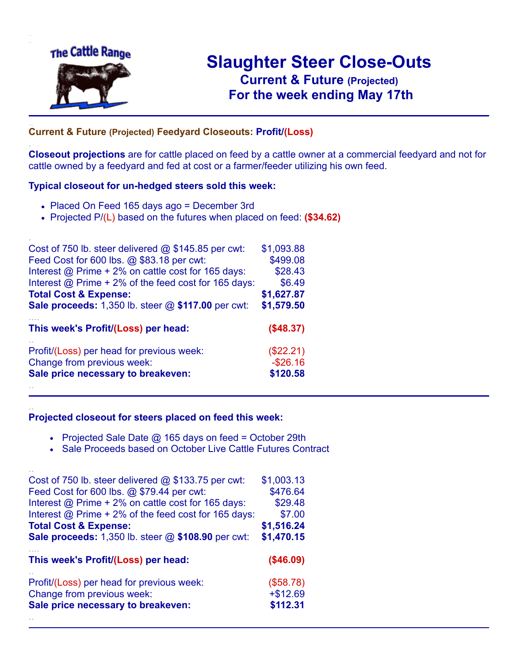

.

..

# **Slaughter Steer Close-Outs Current & Future (Projected)** .**For the week ending May 17th**

#### **Current & Future (Projected) Feedyard Closeouts: Profit/(Loss)**

**Closeout projections** are for cattle placed on feed by a cattle owner at a commercial feedyard and not for cattle owned by a feedyard and fed at cost or a farmer/feeder utilizing his own feed.

#### **Typical closeout for un-hedged steers sold this week:**

- Placed On Feed 165 days ago = December 3rd
- Projected P/(L) based on the futures when placed on feed: **(\$34.62)**

| Cost of 750 lb. steer delivered $@$ \$145.85 per cwt:       | \$1,093.88 |
|-------------------------------------------------------------|------------|
| Feed Cost for 600 lbs. @ \$83.18 per cwt:                   | \$499.08   |
| Interest @ Prime + 2% on cattle cost for 165 days:          | \$28.43    |
| Interest $\omega$ Prime + 2% of the feed cost for 165 days: | \$6.49     |
| <b>Total Cost &amp; Expense:</b>                            | \$1,627.87 |
| <b>Sale proceeds:</b> 1,350 lb. steer @ \$117.00 per cwt:   | \$1,579.50 |
| This week's Profit/(Loss) per head:                         | (\$48.37)  |
| Profit/(Loss) per head for previous week:                   | (\$22.21)  |
| Change from previous week:                                  | $-$26.16$  |
| Sale price necessary to breakeven:                          | \$120.58   |
|                                                             |            |

#### **Projected closeout for steers placed on feed this week:**

- Projected Sale Date  $@$  165 days on feed = October 29th
- Sale Proceeds based on October Live Cattle Futures Contract

| Cost of 750 lb. steer delivered $@$ \$133.75 per cwt:     | \$1,003.13 |
|-----------------------------------------------------------|------------|
| Feed Cost for 600 lbs. @ \$79.44 per cwt:                 | \$476.64   |
| Interest @ Prime + 2% on cattle cost for 165 days:        | \$29.48    |
| Interest $@$ Prime + 2% of the feed cost for 165 days:    | \$7.00     |
| <b>Total Cost &amp; Expense:</b>                          | \$1,516.24 |
| <b>Sale proceeds:</b> 1,350 lb. steer @ \$108.90 per cwt: | \$1,470.15 |
|                                                           |            |
| This week's Profit/(Loss) per head:                       | (\$46.09)  |
| Profit/(Loss) per head for previous week:                 | (\$58.78)  |
| Change from previous week:                                | $+ $12.69$ |
| Sale price necessary to breakeven:                        | \$112.31   |